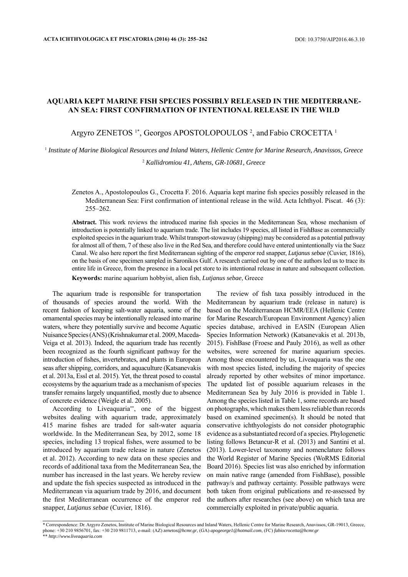## **AQUARIA KEPT MARINE FISH SPECIES POSSIBLY RELEASED IN THE MEDITERRANE-AN SEA: FIRST CONFIRMATION OF INTENTIONAL RELEASE IN THE WILD**

## Argyro ZENETOS<sup>1\*</sup>, Georgos APOSTOLOPOULOS<sup>2</sup>, and Fabio CROCETTA<sup>1</sup>

1  *Institute of Marine Biological Resources and Inland Waters, Hellenic Centre for Marine Research, Anavissos, Greece*

2  *Kallidromiou 41, Athens, GR-10681, Greece*

Zenetos A., Apostolopoulos G., Crocetta F. 2016. Aquaria kept marine fish species possibly released in the Mediterranean Sea: First confirmation of intentional release in the wild. Acta Ichthyol. Piscat. 46 (3): 255–262.

Abstract. This work reviews the introduced marine fish species in the Mediterranean Sea, whose mechanism of introduction is potentially linked to aquarium trade. The list includes 19 species, all listed in FishBase as commercially exploited species in the aquarium trade. Whilst transport-stowaway (shipping) may be considered as a potential pathway for almost all of them, 7 of these also live in the Red Sea, and therefore could have entered unintentionally via the Suez Canal. We also here report the first Mediterranean sighting of the emperor red snapper, *Lutjanus sebae* (Cuvier, 1816), on the basis of one specimen sampled in Saronikos Gulf. A research carried out by one of the authors led us to trace its entire life in Greece, from the presence in a local pet store to its intentional release in nature and subsequent collection. Keywords: marine aquarium hobbyist, alien fish, *Lutjanus sebae*, Greece

The aquarium trade is responsible for transportation of thousands of species around the world. With the recent fashion of keeping salt-water aquaria, some of the ornamental species may be intentionally released into marine waters, where they potentially survive and become Aquatic Nuisance Species (ANS) (Krishnakumar et al. 2009, Maceda-Veiga et al. 2013). Indeed, the aquarium trade has recently been recognized as the fourth significant pathway for the introduction of fishes, invertebrates, and plants in European seas after shipping, corridors, and aquaculture (Katsanevakis et al. 2013a, Essl et al. 2015). Yet, the threat posed to coastal ecosystems by the aquarium trade as a mechanism of species transfer remains largely unquantified, mostly due to absence of concrete evidence (Weigle et al. 2005).

According to Liveaquaria\*\*, one of the biggest websites dealing with aquarium trade, approximately 415 marine fishes are traded for salt-water aquaria worldwide. In the Mediterranean Sea, by 2012, some 18 species, including 13 tropical fishes, were assumed to be introduced by aquarium trade release in nature (Zenetos et al. 2012). According to new data on these species and records of additional taxa from the Mediterranean Sea, the number has increased in the last years. We hereby review and update the fish species suspected as introduced in the Mediterranean via aquarium trade by 2016, and document the first Mediterranean occurrence of the emperor red snapper, *Lutjanus sebae* (Cuvier, 1816).

The review of fish taxa possibly introduced in the Mediterranean by aquarium trade (release in nature) is based on the Mediterranean HCMR/EEA (Hellenic Centre for Marine Research/European Environment Agency) alien species database, archived in EASIN (European Alien Species Information Network) (Katsanevakis et al. 2013b, 2015). FishBase (Froese and Pauly 2016), as well as other websites, were screened for marine aquarium species. Among those encountered by us, Liveaquaria was the one with most species listed, including the majority of species already reported by other websites of minor importance. The updated list of possible aquarium releases in the Mediterranean Sea by July 2016 is provided in Table 1. Among the species listed in Table 1, some records are based on photographs, which makes them less reliable than records based on examined specimen(s). It should be noted that conservative ichthyologists do not consider photographic evidence as a substantiated record of a species. Phylogenetic listing follows Betancur-R et al. (2013) and Santini et al. (2013). Lower-level taxonomy and nomenclature follows the World Register of Marine Species (WoRMS Editorial Board 2016). Species list was also enriched by information on main native range (amended from FishBase), possible pathway/s and pathway certainty. Possible pathways were both taken from original publications and re-assessed by the authors after researches (see above) on which taxa are commercially exploited in private/public aquaria.

<sup>\*</sup> Correspondence: Dr. Argyro Zenetos, Institute of Marine Biological Resources and Inland Waters, Hellenic Centre for Marine Research, Anavissos, GR-19013, Greece, phone: +30 210 9856701, fax: +30 210 9811713, e-mail: (AZ) *zenetos@hcmr.gr*, (GA) *apogeorge1@hotmail.com*, (FC) *fabiocrocetta@hcmr.gr* \*\* *http://www.liveaquaria.com*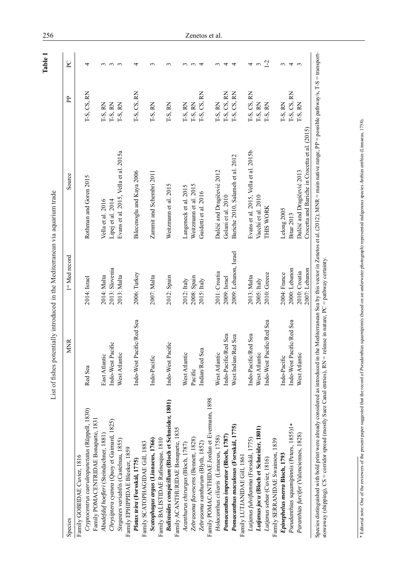| Species                                             | <b>MNR</b>                | 1st Med record        | Source                                         | P <sub>p</sub> | $\mathsf{P}\mathsf{C}$     |
|-----------------------------------------------------|---------------------------|-----------------------|------------------------------------------------|----------------|----------------------------|
| Family GOBIIDAE Cuvier, 1816                        |                           |                       |                                                |                |                            |
| Cryptocentrus caeruleopunctatus (Rüppell, 1830)     | Red Sea                   | 2014: Israel          | Rothman and Goren 2015                         | T-S, CS, RN    | 4                          |
| Family POMACENTRIDAE Bonaparte, 1831                |                           |                       |                                                |                |                            |
| Abudefduf hoefleri (Steindachner, 1881)             | East Atlantic             | 2014: Malta           | Vella et al. 2016                              | T-S, RN        |                            |
| Chrysiptera cyanea (Quoy et Gaimard, 1825)          | Indo-West Pacific         | 2013: Slovenia        | Lipej et al. 2014                              | T-S, RN        | $\omega$ $\omega$ $\omega$ |
| Stegastes variabilis (Castelnau, 1855)              | West Atlantic             | 2013: Malta           | Evans et al. 2015, Vella et al. 2015a          | T-S, RN        |                            |
| Family EPHIPPIDAE Bleeker, 1859                     |                           |                       |                                                |                |                            |
| Platax teira (Forsskål, 1775)                       | Indo-West Pacific/Red Sea | 2006: Turkey          | Bilecenoglu and Kaya 2006                      | T-S, CS, RN    | 4                          |
| Family SCATOPHAGIDAE Gill, 1883                     |                           |                       |                                                |                |                            |
| Scatophagus argus (Linnaeus, 1766)                  | Indo-Pacific              | 2007: Malta           | Zammit and Schembri 2011                       | T-S, RN        | $\sim$                     |
| Family BALISTIDAE Rafinesque, 1810                  |                           |                       |                                                |                |                            |
| Balistoides conspicillum (Bloch et Schneider, 1801) | Indo-West Pacific         | 2012: Spain           | Weitzmann et al. 2015                          | T-S, RN        | 3                          |
| Family ACANTHURIDAE Bonaparte, 1835                 |                           |                       |                                                |                |                            |
| Acanthurus chirurgus (Bloch, 1787                   | West Atlantic             | $2012:$ Italy         | Langeneck et al. 2015                          | T-S, RN        | $\sim$                     |
| Zebrasoma flavescens (Bennett, 1828)                | Pacific                   | 2008: Spain           | Weitzmann et al. 2015                          | T-S, RN        | $\sim$                     |
| Zebrasoma xanthurum (Blyth, 1852)                   | Sea<br>Indian/Red         | $2015$ : Italy        | Guidetti et al. 2016                           | I-S, CS, RN    | $\overline{4}$             |
| Family POMACANTHIDAE Jordan et Evermann, 1898       |                           |                       |                                                |                |                            |
| Holacanthus ciliaris (Linnaeus, 1758)               | West Atlantic             | 2011: Croatia         | Dulčić and Dragičević 2012                     | T-S, RN        | $\epsilon$                 |
| Pomacanthus imperator (Bloch, 1787)                 | Indo-Pacific/Red Sea      | 2009: Israel          | Golani et al. 2010                             | T-S, CS, RN    | 4                          |
| Pomacanthus maculosus (Forsskål, 1775)              | West Indian/Red Sea       | 2009: Lebanon, Israel | Bariche 2010, Salameh et al. 2012              | T-S, CS, RN    | $\overline{4}$             |
| Family LUTJANIDAE Gill, 1861                        |                           |                       |                                                |                |                            |
| Lutjanus fulviflamma (Forsskål, 1775)               | Indo-Pacific/Red Sea      | 2013: Malta           | Evans et al. 2015, Vella et al. 2015b          | T-S, CS, RN    | 4                          |
| Lutjanus jocu (Bloch et Schneider, 1801)            | West Atlantic             | $2005$ : Italy        | Vacchi et al. 2010                             | T-S, RN        | 3                          |
| Lutjanus sebae (Cuvier, 1816)                       | Indo-West Pacific/Red Sea | 2010: Greece          | THIS WORK                                      | T-S, RN        | $1-2$                      |
| 1839<br>Family SERRANIDAE Swainson,                 |                           |                       |                                                |                |                            |
| Epinephelus merra Bloch, 1793                       | Indo-Pacific              | 2004: France          | Lelong 2005                                    | T-S, RN        |                            |
| Pseudanthias squamipinnis (Peters, 1855)1*          | Indo-West Pacific/Red Sea | 2000: Lebanon         | <b>Bitar 2013</b>                              | T-S, CS, RN    | $\omega$ 4                 |
| Paranthias furcifer (Valenciennes, 1828)            | West Atlantic             | 2010: Croatia         | Dulčić and Dragičević 2013                     | T-S, RN        | $\epsilon$                 |
|                                                     |                           | 2007: Lebanon         | Crocetta and Bariche in Crocetta et al. (2015) |                |                            |

<sup>\*</sup> Editorial note: One of the reviewers of the present paper suggested that the record of Pseudanthias squamipinnis (based on an underwater photograph) represented indigenous species Anthias anthias (Linnaeus, 1758). \* Editorial note: One of the reviewers of the present paper suggested that the record of *Pseudanthias squamipinnis* (based on an underwater photograph) represented indigenous species Anthias (Linnaeus, 1758).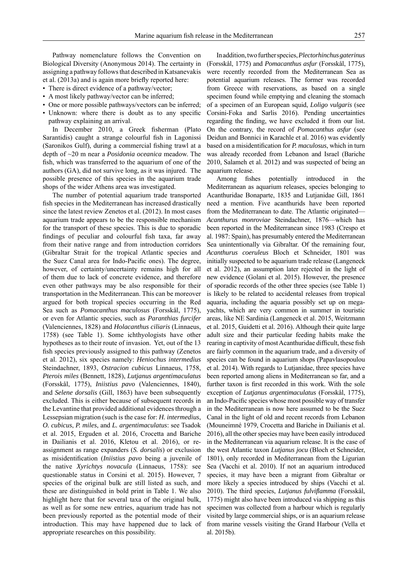Pathway nomenclature follows the Convention on Biological Diversity (Anonymous 2014). The certainty in assigning a pathway follows that described in Katsanevakis et al. (2013a) and is again more briefly reported here:

- There is direct evidence of a pathway/vector;
- A most likely pathway/vector can be inferred;
- One or more possible pathways/vectors can be inferred; • Unknown: where there is doubt as to any specific
- pathway explaining an arrival.

In December 2010, a Greek fisherman (Plato Sarantidis) caught a strange colourful fish in Lagonissi (Saronikos Gulf), during a commercial fishing trawl at a depth of ~20 m near a *Posidonia oceanica* meadow. The fish, which was transferred to the aquarium of one of the authors (GA), did not survive long, as it was injured. The possible presence of this species in the aquarium trade shops of the wider Athens area was investigated.

The number of potential aquarium trade transported fish species in the Mediterranean has increased drastically since the latest review Zenetos et al. (2012). In most cases aquarium trade appears to be the responsible mechanism for the transport of these species. This is due to sporadic findings of peculiar and colourful fish taxa, far away from their native range and from introduction corridors (Gibraltar Strait for the tropical Atlantic species and the Suez Canal area for Indo-Pacific ones). The degree, however, of certainty/uncertainty remains high for all of them due to lack of concrete evidence, and therefore even other pathways may be also responsible for their transportation in the Mediterranean. This can be moreover argued for both tropical species occurring in the Red Sea such as *Pomacanthus maculosus* (Forsskål, 1775), or even for Atlantic species, such as *Paranthias furcifer* (Valenciennes, 1828) and *Holacanthus ciliaris* (Linnaeus, 1758) (see Table 1). Some ichthyologists have other hypotheses as to their route of invasion. Yet, out of the 13 fish species previously assigned to this pathway (Zenetos et al. 2012), six species namely: *Heniochus intermedius* Steindachner, 1893, *Ostracion cubicus* Linnaeus, 1758, *Pterois miles* (Bennett, 1828), *Lutjanus argentimaculatus* (Forsskål, 1775), *Iniistius pavo* (Valenciennes, 1840), and *Selene dorsalis* (Gill, 1863) have been subsequently excluded. This is either because of subsequent records in the Levantine that provided additional evidences through a Lessepsian migration (such is the case for: *H. intermedius*, *O. cubicus*, *P. miles*, and *L. argentimaculatus*: see Tsadok et al. 2015, Erguden et al. 2016, Crocetta and Bariche in Dailianis et al. 2016, Kletou et al. 2016), or reassignment as range expanders (*S. dorsalis*) or exclusion as misidentification (*Iniistius pavo* being a juvenile of the native *Xyrichtys novacula* (Linnaeus, 1758): see questionable status in Corsini et al. 2015). However, 7 species of the original bulk are still listed as such, and these are distinguished in bold print in Table 1. We also highlight here that for several taxa of the original bulk, as well as for some new entries, aquarium trade has not been previously reported as the potential mode of their introduction. This may have happened due to lack of appropriate researches on this possibility.

In addition, two further species, *Plectorhinchus gaterinus* (Forsskål, 1775) and *Pomacanthus asfur* (Forsskål, 1775), were recently recorded from the Mediterranean Sea as potential aquarium releases. The former was recorded from Greece with reservations, as based on a single specimen found while emptying and cleaning the stomach of a specimen of an European squid, *Loligo vulgaris* (see Corsini-Foka and Sarlis 2016). Pending uncertainties regarding the finding, we have excluded it from our list. On the contrary, the record of *Pomacanthus asfur* (see Deidun and Bonnici in Karachle et al. 2016) was evidently based on a misidentification for *P. maculosus*, which in turn was already recorded from Lebanon and Israel (Bariche 2010, Salameh et al. 2012) and was suspected of being an aquarium release.

Among fishes potentially introduced in the Mediterranean as aquarium releases, species belonging to Acanthuridae Bonaparte, 1835 and Lutjanidae Gill, 1861 need a mention. Five acanthurids have been reported from the Mediterranean to date. The Atlantic originated— *Acanthurus monroviae* Steindachner, 1876—which has been reported in the Mediterranean since 1983 (Crespo et al. 1987: Spain), has presumably entered the Mediterranean Sea unintentionally via Gibraltar. Of the remaining four, *Acanthurus coeruleus* Bloch et Schneider, 1801 was initially suspected to be aquarium trade release (Langeneck et al. 2012), an assumption later rejected in the light of new evidence (Golani et al. 2015). However, the presence of sporadic records of the other three species (see Table 1) is likely to be related to accidental releases from tropical aquaria, including the aquaria possibly set up on megayachts, which are very common in summer in touristic areas, like NE Sardinia (Langeneck et al. 2015, Weitzmann et al. 2015, Guidetti et al. 2016). Although their quite large adult size and their particular feeding habits make the rearing in captivity of most Acanthuridae difficult, these fish are fairly common in the aquarium trade, and a diversity of species can be found in aquarium shops (Papavlasopoulou et al. 2014). With regards to Lutjanidae, three species have been reported among aliens in Mediterranean so far, and a further taxon is first recorded in this work. With the sole exception of *Lutjanus argentimaculatus* (Forsskål, 1775), an Indo-Pacific species whose most possible way of transfer in the Mediterranean is now here assumed to be the Suez Canal in the light of old and recent records from Lebanon (Mouneimné 1979, Crocetta and Bariche in Dailianis et al. 2016), all the other species may have been easily introduced in the Mediterranean via aquarium release. It is the case of the west Atlantic taxon *Lutjanus jocu* (Bloch et Schneider, 1801), only recorded in Mediterranean from the Ligurian Sea (Vacchi et al. 2010). If not an aquarium introduced species, it may have been a migrant from Gibraltar or more likely a species introduced by ships (Vacchi et al. 2010). The third species, *Lutjanus fulviflamma* (Forsskål, 1775) might also have been introduced via shipping as this specimen was collected from a harbour which is regularly visited by large commercial ships, or is an aquarium release from marine vessels visiting the Grand Harbour (Vella et al. 2015b).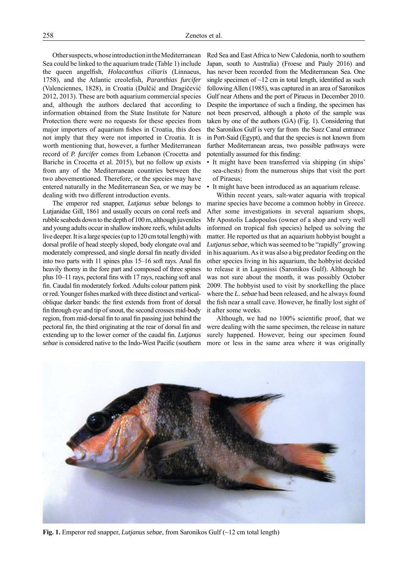Other suspects, whose introduction in the Mediterranean Sea could be linked to the aquarium trade (Table 1) include the queen angelfish, *Holacanthus ciliaris* (Linnaeus, 1758), and the Atlantic creolefish, *Paranthias furcifer* (Valenciennes, 1828), in Croatia (Dulčić and Dragičević 2012, 2013). These are both aquarium commercial species and, although the authors declared that according to information obtained from the State Institute for Nature Protection there were no requests for these species from major importers of aquarium fishes in Croatia, this does not imply that they were not imported in Croatia. It is worth mentioning that, however, a further Mediterranean record of *P. furcifer* comes from Lebanon (Crocetta and Bariche in Crocetta et al. 2015), but no follow up exists from any of the Mediterranean countries between the two abovementioned. Therefore, or the species may have entered naturally in the Mediterranean Sea, or we may be dealing with two different introduction events.

The emperor red snapper, *Lutjanus sebae* belongs to Lutjanidae Gill, 1861 and usually occurs on coral reefs and rubble seabeds down to the depth of 100 m, although juveniles and young adults occur in shallow inshore reefs, whilst adults live deeper. It is a large species (up to 120 cm total length) with dorsal profile of head steeply sloped, body elongate oval and moderately compressed, and single dorsal fin neatly divided into two parts with  $11$  spines plus  $15-16$  soft rays. Anal fin heavily thorny in the fore part and composed of three spines plus 10–11 rays, pectoral fins with 17 rays, reaching soft anal fin. Caudal fin moderately forked. Adults colour pattern pink or red. Younger fishes marked with three distinct and verticaloblique darker bands: the first extends from front of dorsal fin through eye and tip of snout, the second crosses mid-body region, from mid-dorsal fin to anal fin passing just behind the pectoral fin, the third originating at the rear of dorsal fin and extending up to the lower corner of the caudal fin. *Lutianus sebae* is considered native to the Indo-West Pacific (southern Red Sea and East Africa to New Caledonia, north to southern Japan, south to Australia) (Froese and Pauly 2016) and has never been recorded from the Mediterranean Sea. One single specimen of  $\sim$ 12 cm in total length, identified as such following Allen (1985), was captured in an area of Saronikos Gulf near Athens and the port of Piraeus in December 2010. Despite the importance of such a finding, the specimen has not been preserved, although a photo of the sample was taken by one of the authors (GA) (Fig. 1). Considering that the Saronikos Gulf is very far from the Suez Canal entrance in Port-Said (Egypt), and that the species is not known from further Mediterranean areas, two possible pathways were potentially assumed for this finding:

- It might have been transferred via shipping (in ships' sea-chests) from the numerous ships that visit the port of Piraeus;
- It might have been introduced as an aquarium release.

Within recent years, salt-water aquaria with tropical marine species have become a common hobby in Greece. After some investigations in several aquarium shops, Mr Apostolis Ladopoulos (owner of a shop and very well informed on tropical fish species) helped us solving the matter. He reported us that an aquarium hobbyist bought a *Lutjanus sebae*, which was seemed to be "rapidly" growing in his aquarium. As it was also a big predator feeding on the other species living in his aquarium, the hobbyist decided to release it in Lagonissi (Saronikos Gulf). Although he was not sure about the month, it was possibly October 2009. The hobbyist used to visit by snorkelling the place where the *L. sebae* had been released, and he always found the fish near a small cave. However, he finally lost sight of it after some weeks.

Although, we had no  $100\%$  scientific proof, that we were dealing with the same specimen, the release in nature surely happened. However, being our specimen found more or less in the same area where it was originally



**Fig. 1.** Emperor red snapper, *Lutjanus sebae*, from Saronikos Gulf (~12 cm total length)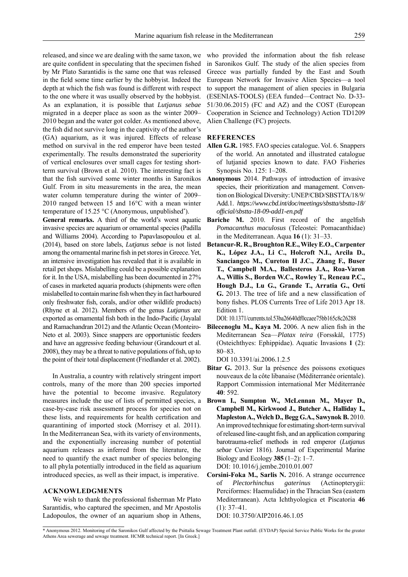released, and since we are dealing with the same taxon, we are quite confident in speculating that the specimen fished by Mr Plato Sarantidis is the same one that was released in the field some time earlier by the hobbyist. Indeed the depth at which the fish was found is different with respect to the one where it was usually observed by the hobbyist. As an explanation, it is possible that *Lutjanus sebae* migrated in a deeper place as soon as the winter 2009– 2010 began and the water got colder. As mentioned above, the fish did not survive long in the captivity of the author's (GA) aquarium, as it was injured. Effects of release method on survival in the red emperor have been tested experimentally. The results demonstrated the superiority of vertical enclosures over small cages for testing shortterm survival (Brown et al. 2010). The interesting fact is that the fish survived some winter months in Saronikos Gulf. From in situ measurements in the area, the mean water column temperature during the winter of 2009– 2010 ranged between 15 and 16°C with a mean winter temperature of 15.25 °C (Anonymous, unpublished\* ).

**General remarks.** A third of the world's worst aquatic invasive species are aquarium or ornamental species (Padilla and Williams 2004). According to Papavlasopoulou et al. (2014), based on store labels, *Lutjanus sebae* is not listed among the ornamental marine fish in pet stores in Greece. Yet, an intensive investigation has revealed that it is available in retail pet shops. Mislabelling could be a possible explanation for it. In the USA, mislabelling has been documented in 27% of cases in marketed aquaria products (shipments were often mislabelled to contain marine fish when they in fact harboured only freshwater fish, corals, and/or other wildlife products) (Rhyne et al. 2012). Members of the genus *Lutjanus* are exported as ornamental fish both in the Indo-Pacific (Jayalal and Ramachandran 2012) and the Atlantic Ocean (Monteiro-Neto et al. 2003). Since snappers are opportunistic feeders and have an aggressive feeding behaviour (Grandcourt et al. 2008), they may be a threat to native populations of fish, up to the point of their total displacement (Friedlander et al. 2002).

In Australia, a country with relatively stringent import controls, many of the more than 200 species imported have the potential to become invasive. Regulatory measures include the use of lists of permitted species, a case-by-case risk assessment process for species not on these lists, and requirements for health certification and quarantining of imported stock (Morrisey et al. 2011). In the Mediterranean Sea, with its variety of environments, and the exponentially increasing number of potential aquarium releases as inferred from the literature, the need to quantify the exact number of species belonging to all phyla potentially introduced in the field as aquarium introduced species, as well as their impact, is imperative.

## **ACKNOWLEDGMENTS**

We wish to thank the professional fisherman Mr Plato Sarantidis, who captured the specimen, and Mr Apostolis Ladopoulos, the owner of an aquarium shop in Athens, who provided the information about the fish release in Saronikos Gulf. The study of the alien species from Greece was partially funded by the East and South European Network for Invasive Alien Species—a tool to support the management of alien species in Bulgaria (ESENIAS-TOOLS) (EEA funded—Contract No. D-33- 51/30.06.2015) (FC and AZ) and the COST (European Cooperation in Science and Technology) Action TD1209 Alien Challenge (FC) projects.

## **REFERENCES**

- **Allen G.R.** 1985. FAO species catalogue. Vol. 6. Snappers of the world. An annotated and illustrated catalogue of lutjanid species known to date. FAO Fisheries Synopsis No. 125: 1–208.
- **Anonymous** 2014. Pathways of introduction of invasive species, their prioritization and management. Conven tion on Biological Diversity: UNEP/CBD/SBSTTA/18/9/ Add.1. *https://www.cbd.int/doc/meetings/sbstta/sbstta-18/ offi cial/sbstta-18-09-add1-en.pdf*
- **Bariche M.** 2010. First record of the angelfish *Pomacanthus maculosus* (Teleostei: Pomacanthidae) in the Mediterranean. Aqua **16** (1): 31–33.
- **Betancur-R. R., Broughton R.E., Wiley E.O., Carpenter K., López J.A., Li C., Holcroft N.I., Arcila D., Sanciangco M., Cureton II J.C., Zhang F., Buser T., Campbell M.A., Ballesteros J.A., Roa-Varon A., Willis S., Borden W.C., Rowley T., Reneau P.C., Hough D.J., Lu G., Grande T., Arratia G., Ortí G.** 2013. The tree of life and a new classification of bony fishes. PLOS Currents Tree of Life 2013 Apr 18. Edition 1.

DOI: 10.1371/currents.tol.53ba26640df0ccaee75bb165c8c26288

**Bilecenoglu M., Kaya M.** 2006. A new alien fish in the Mediterranean Sea—*Platax teira* (Forsskål, 1775) (Osteichthyes: Ephippidae). Aquatic Invasions **1** (2): 80–83.

DOI 10.3391/ai.2006.1.2.5

- **Bitar G.** 2013. Sur la présence des poissons exotiques nouveaux de la côte libanaise (Méditerranée orientale). Rapport Commission international Mer Méditerranée **40**: 592.
- **Brown I., Sumpton W., McLennan M., Mayer D., Campbell M., Kirkwood J., Butcher A., Halliday I., Mapleston A., Welch D., Begg G.A., Sawynok B.** 2010. An improved technique for estimating short-term survival of released line-caught fish, and an application comparing barotrauma-relief methods in red emperor (*Lutjanus sebae* Cuvier 1816). Journal of Experimental Marine Biology and Ecology **385** (1–2): 1–7. DOI: 10.1016/j.jembe.2010.01.007
- **Corsini-Foka M., Sarlis N.** 2016. A strange occurrence of *Plectorhinchus gaterinus* (Actinopterygii: Perciformes: Haemulidae) in the Thracian Sea (eastern Mediterranean). Acta Ichthyologica et Piscatoria **46** (1): 37–41.

DOI: 10.3750/AIP2016.46.1.05

<sup>\*</sup> Anonymous 2012. Monitoring of the Saronikos Gulf affected by the Psittalia Sewage Treatment Plant outfall. (EYDAP) Special Service Public Works for the greater Athens Area sewerage and sewage treatment. HCMR technical report. [In Greek.]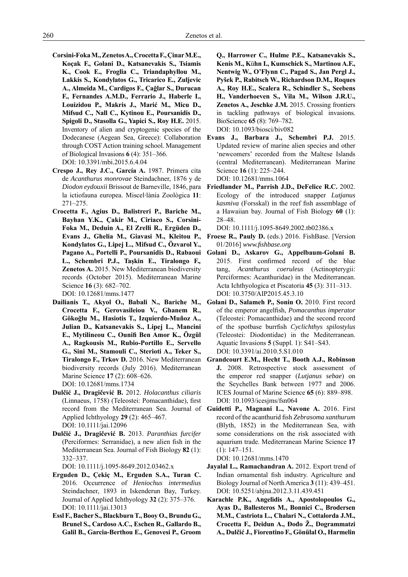- **Corsini-Foka M., Zenetos A., Crocetta F., Çinar M.E., Koçak F., Golani D., Katsanevakis S., Tsiamis K., Cook E., Froglia C., Triandaphyllou M., Lakkis S., Kondylatos G., Tricarico E., Zuljevic A., Almeida M., Cardigos F., Çağlar S., Durucan F., Fernandes A.M.D., Ferrario J., Haberle I., Louizidou P., Makris J., Marić M., Micu D., Mifsud C., Nall C., Kytinou E., Poursanidis D., Spigoli D., Stasolla G., Yapici S., Roy H.E.** 2015. Inventory of alien and cryptogenic species of the Dodecanese (Aegean Sea, Greece): Collaboration through COST Action training school. Management of Biological Invasions **6** (4): 351–366. DOI: 10.3391/mbi.2015.6.4.04
- **Crespo J., Rey J.C., García A.** 1987. Primera cita de *Acanthurus monrovae* Steindachner, 1876 y de *Diodon eydouxii* Brissout de Barneville, 1846, para la ictiofauna europea. Miscel*·*lània Zoològica **11**: 271–275.
- **Crocetta F., Agius D., Balistreri P., Bariche M., Bayhan Y.K., Çakir M., Ciriaco S., Corsini-Foka M., Deduin A., El Zrelli R., Ergüden D., Evans J., Ghelia M., Giavasi M., Kleitou P., Kondylatos G., Lipej L., Mifsud C., Özvarol Y., Pagano A., Portelli P., Poursanidis D., Rabaoui L., Schembri P.J., Taşkin E., Tiralongo F.***,*  **Zenetos A.** 2015. New Mediterranean biodiversity records (October 2015). Mediterranean Marine Science **16** (3): 682–702.

DOI: 10.12681/mms.1477

- **Dailianis T., Akyol O., Babali N., Bariche M., Crocetta F., Gerovasileiou V., Ghanem R., Gökoğlu M., Hasiotis T., Izquierdo-Muñoz A., Julian D., Katsanevakis S., Lipej L., Mancini E., Mytilineou C., Ounifi Ben Amor K., Özgül A., Ragkousis M., Rubio-Portillo E., Servello G., Sini M., Stamouli C., Sterioti A., Teker S., Tiralongo F., Trkov D.** 2016. New Mediterranean biodiversity records (July 2016). Mediterranean Marine Science **17** (2): 608–626. DOI: 10.12681/mms.1734
- **Dulčić J., Dragičević B.** 2012. *Holacanthus ciliaris* (Linnaeus, 1758) (Teleostei: Pomacanthidae), first record from the Mediterranean Sea. Journal of Applied Ichthyology **29** (2): 465–467. DOI: 10.1111/jai.12096
- **Dulčić J., Dragičević B.** 2013. *Paranthias furcifer* (Perciformes: Serranidae), a new alien fish in the Mediterranean Sea. Journal of Fish Biology **82** (1): 332–337.

DOI: 10.1111/j.1095-8649.2012.03462.x

- **Erguden D., Çekiç M., Erguden S.A., Turan C.** 2016. Occurrence of *Heniochus intermedius* Steindachner, 1893 in Iskenderun Bay, Turkey. Journal of Applied Ichthyology **32** (2): 375–376. DOI: 10.1111/jai.13013
- **Essl F., Bacher S., Blackburn T., Booy O., Brundu G., Brunel S., Cardoso A.C., Eschen R., Gallardo B., Galil B., Garcia-Berthou E., Genovesi P., Groom**

**Q., Harrower C., Hulme P.E., Katsanevakis S., Kenis M., K**ü**hn I., Kumschick S., Martinou A.F., Nentwig W., O'Flynn C., Pagad S., Jan Pergl J., Pyšek P., Rabitsch W., Richardson D.M., Roques A., Roy H.E., Scalera R., Schindler S., Seebens H., Vanderhoeven S., Vila M., Wilson J.R.U., Zenetos A., Jeschke J.M.** 2015. Crossing frontiers in tackling pathways of biological invasions*.*  BioScience **65** (8): 769–782. DOI: 10.1093/biosci/biv082

- **Evans J., Barbara J., Schembri P.J.** 2015. Updated review of marine alien species and other 'newcomers' recorded from the Maltese Islands (central Mediterranean). Mediterranean Marine Science **16** (1): 225–244. DOI: 10.12681/mms.1064
- **Friedlander M., Parrish J.D., DeFelice R.C.** 2002. Ecology of the introduced snapper *Lutjanus kasmiva* (Forsskal) in the reef fish assemblage of a Hawaiian bay. Journal of Fish Biology **60** (1): 28–48.

DOI: 10.1111/j.1095-8649.2002.tb02386.x

- Froese R., Pauly D. (eds.) 2016. FishBase. [Version 01/2016] *www.fi shbase.org*
- **Golani D., Askarov G., Appelbaum-Golani B.** 2015. First confirmed record of the blue tang, *Acanthurus coeruleus* (Actinopterygii: Perciformes: Acanthuridae) in the Mediterranean. Acta Ichthyologica et Piscatoria **45** (3): 311–313. DOI: 10.3750/AIP2015.45.3.10
- **Golani D., Salameh P., Sonin O.** 2010. First record of the emperor angelfish, *Pomacanthus imperator* (Teleostei: Pomacanthidae) and the second record of the spotbase burrfish *Cyclichthys spilostylus* (Teleostei: Diodontidae) in the Mediterranean. Aquatic Invasions **5** (Suppl. 1): S41–S43. DOI: 10.3391/ai.2010.5.S1.010
- **Grandcourt E.M., Hecht T., Booth A.J., Robinson J.** 2008. Retrospective stock assessment of the emperor red snapper (*Lutjanus sebae*) on the Seychelles Bank between 1977 and 2006. ICES Journal of Marine Science **65** (6): 889–898. DOI: 10.1093/icesjms/fsn064
- **Guidetti P., Magnani L., Navone A.** 2016. First record of the acanthurid fish *Zebrasoma xanthurum* (Blyth, 1852) in the Mediterranean Sea, with some considerations on the risk associated with aquarium trade. Mediterranean Marine Science **17** (1): 147–151.

DOI: 10.12681/mms.1470

- **Jayalal L., Ramachandran A.** 2012. Export trend of Indian ornamental fish industry. Agriculture and Biology Journal of North America **3** (11): 439–451. DOI: 10.5251/abjna.2012.3.11.439.451
- **Karachle P.K., Angelidis A., Apostolopoulos G., Ayas D., Ballesteros M., Bonnici C., Brodersen M.M., Castriota L., Chalari N., Cottalorda J.M., Crocetta F., Deidun A., Đođo Ž., Dogrammatzi A., Dulčić J., Fiorentino F., Gönülal O., Harmelin**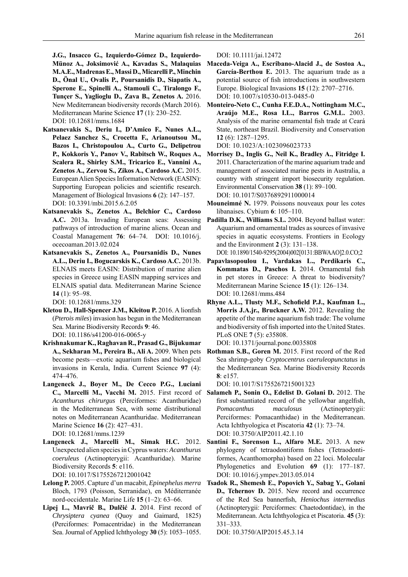**J.G., Insacco G., Izquierdo-Gómez D., Izquierdo-Münoz A., Joksimović A., Kavadas S., Malaquias M.A.E., Madrenas E., Massi D., Micarelli P., Minchin D., Önal U., Ovalis P., Poursanidis D., Siapatis A., Sperone E., Spinelli A., Stamouli C., Tiralongo F., Tunçer S., Yaglioglu D., Zava B., Zenetos A.** 2016. New Mediterranean biodiversity records (March 2016). Mediterranean Marine Science **17** (1): 230–252. DOI: 10.12681/mms.1684

- **Katsanevakis S., Deriu I., D'Amico F., Nunes A.L., Pelaez Sanchez S., Crocetta F., Arianoutsou M., Bazos I., Christopoulou A., Curto G., Delipetrou P., Kokkoris Y., Panov V., Rabitsch W., Roques A., Scalera R., Shirley S.M., Tricarico E., Vannini A., Zenetos A., Zervou S., Zikos A., Cardoso A.C.** 2015. European Alien Species Information Network (EASIN): Supporting European policies and scientific research. Management of Biological Invasions **6** (2): 147–157. DOI: 10.3391/mbi.2015.6.2.05
- **Katsanevakis S., Zenetos A., Belchior C., Cardoso A.C.** 2013a. Invading European seas: Assessing pathways of introduction of marine aliens. Ocean and Coastal Management **76**: 64–74. DOI: 10.1016/j. ocecoaman.2013.02.024
- **Katsanevakis S., Zenetos A., Poursanidis D., Nunes A.L., Deriu I., Bogucarskis K., Cardoso A.C.** 2013b. ELNAIS meets EASIN: Distribution of marine alien species in Greece using EASIN mapping services and ELNAIS spatial data. Mediterranean Marine Science **14** (1): 95–98.

DOI: 10.12681/mms.329

- **Kletou D., Hall-Spencer J.M., Kleitou P.** 2016. A lionfish (*Pterois miles*) invasion has begun in the Mediterranean Sea. Marine Biodiversity Records **9**: 46. DOI: 10.1186/s41200-016-0065-y
- **Krishnakumar K., Raghavan R., Prasad G., Bijukumar A., Sekharan M., Pereira B., Ali A.** 2009. When pets become pests—exotic aquarium fishes and biological invasions in Kerala, India. Current Science **97** (4): 474–476.
- **Langeneck J., Boyer M., De Cecco P.G., Luciani C., Marcelli M., Vacchi M.** 2015. First record of *Acanthurus chirurgus* (Perciformes: Acanthuridae) in the Mediterranean Sea, with some distributional notes on Mediterranean Acanthuridae. Mediterranean Marine Science **16** (2): 427–431. DOI: 10.12681/mms.1239
- **Langeneck J., Marcelli M., Simak H.C.** 2012. Unexpected alien species in Cyprus waters: *Acanthurus coeruleus* (Actinopterygii: Acanthuridae). Marine Biodiversity Records **5**: e116.

DOI: 10.1017/S1755267212001042

- **Lelong P.** 2005. Capture d'un macabit, *Epinephelus merra* Bloch, 1793 (Poisson, Serranidae), en Méditerranée nord-occidentale. Marine Life **15** (1–2): 63–66.
- **Lipej L., Mavrič B., Dulčić J.** 2014. First record of *Chrysiptera cyanea* (Quoy and Gaimard, 1825) (Perciformes: Pomacentridae) in the Mediterranean Sea. Journal of Applied Ichthyology **30** (5): 1053–1055.

DOI: 10.1111/jai.12472

- **Maceda-Veiga A., Escribano-Alacid J., de Sostoa A., García-Berthou E.** 2013. The aquarium trade as a potential source of fish introductions in southwestern Europe. Biological Invasions **15** (12): 2707–2716. DOI: 10.1007/s10530-013-0485-0
- **Monteiro-Neto C., Cunha F.E.D.A., Nottingham M.C., Araújo M.E., Rosa I.L., Barros G.M.L.** 2003. Analysis of the marine ornamental fish trade at Ceará State, northeast Brazil. Biodiversity and Conservation **12** (6): 1287–1295.

DOI: 10.1023/A:1023096023733

- **Morrisey D., Inglis G., Neil K., Bradley A., Fitridge I.** 2011. Characterization of the marine aquarium trade and management of associated marine pests in Australia, a country with stringent import biosecurity regulation. Environmental Conservation **38** (1): 89–100. DOI: 10.1017/S0376892911000014
- **Mouneimné N.** 1979. Poissons nouveaux pour les cotes libanaises. Cybium **6**: 105–110.
- **Padilla D.K., Williams S.L.** 2004. Beyond ballast water: Aquarium and ornamental trades as sources of invasive species in aquatic ecosystems. Frontiers in Ecology and the Environment **2** (3): 131–138. DOI: 10.1890/1540-9295(2004)002[0131:BBWAAO]2.0.CO;2
- **Papavlasopoulou I., Vardakas L., Perdikaris C.,**  Kommatas D., Paschos I. 2014. Ornamental fish in pet stores in Greece: A threat to biodiversity? Mediterranean Marine Science **15** (1): 126–134. DOI: 10.12681/mms.484
- Rhyne A.L., Tlusty M.F., Schofield P.J., Kaufman L., **Morris J.A.jr., Bruckner A.W.** 2012. Revealing the appetite of the marine aquarium fish trade: The volume and biodiversity of fish imported into the United States. PLoS ONE **7** (5): e35808.
- DOI: 10.1371/journal.pone.0035808 **Rothman S.B., Goren M.** 2015. First record of the Red Sea shrimp-goby *Cryptocentrus caeruleopunctatus* in the Mediterranean Sea. Marine Biodiversity Records **8**: e157.

DOI: 10.1017/S1755267215001323

- **Salameh P., Sonin O., Edelist D. Golani D.** 2012. The first substantiated record of the yellowbar angelfish, *Pomacanthus maculosus* (Actinopterygii: Perciformes: Pomacanthidae) in the Mediterranean. Acta Ichthyologica et Piscatoria **42** (1): 73–74. DOI: 10.3750/AIP2011.42.1.10
- Santini F., Sorenson L., Alfaro M.E. 2013. A new phylogeny of tetraodontiform fishes (Tetraodontiformes, Acanthomorpha) based on 22 loci. Molecular Phylogenetics and Evolution **69** (1): 177–187. DOI: 10.1016/j.ympev.2013.05.014
- **Tsadok R., Shemesh E., Popovich Y., Sabag Y., Golani D., Tchernov D.** 2015. New record and occurrence of the Red Sea bannerfish, *Heniochus intermedius* (Actinopterygii: Perciformes: Chaetodontidae), in the Mediterranean. Acta Ichthyologica et Piscatoria. **45** (3): 331–333.

DOI: 10.3750/AIP2015.45.3.14